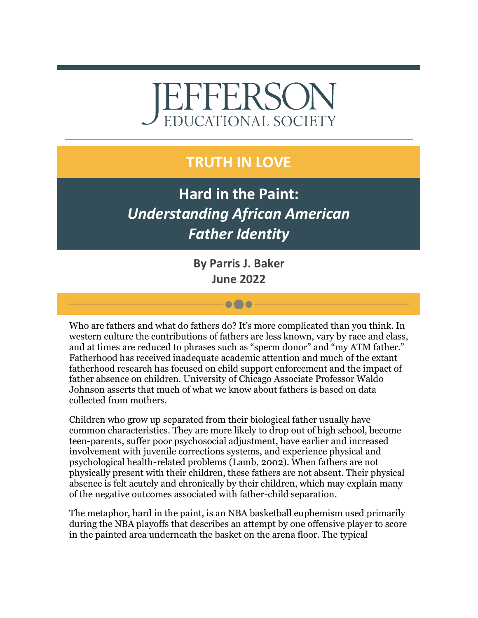# EFFERSO **EDUCATIONAL SOCIETY**

## **TRUTH IN LOVE**

**Hard in the Paint:**  *Understanding African American Father Identity*

> **By Parris J. Baker June 2022**

> > $\bullet\bullet\bullet$

Who are fathers and what do fathers do? It's more complicated than you think. In western culture the contributions of fathers are less known, vary by race and class, and at times are reduced to phrases such as "sperm donor" and "my ATM father." Fatherhood has received inadequate academic attention and much of the extant fatherhood research has focused on child support enforcement and the impact of father absence on children. University of Chicago Associate Professor Waldo Johnson asserts that much of what we know about fathers is based on data collected from mothers.

Children who grow up separated from their biological father usually have common characteristics. They are more likely to drop out of high school, become teen-parents, suffer poor psychosocial adjustment, have earlier and increased involvement with juvenile corrections systems, and experience physical and psychological health-related problems (Lamb, 2002). When fathers are not physically present with their children, these fathers are not absent. Their physical absence is felt acutely and chronically by their children, which may explain many of the negative outcomes associated with father-child separation.

The metaphor, hard in the paint, is an NBA basketball euphemism used primarily during the NBA playoffs that describes an attempt by one offensive player to score in the painted area underneath the basket on the arena floor. The typical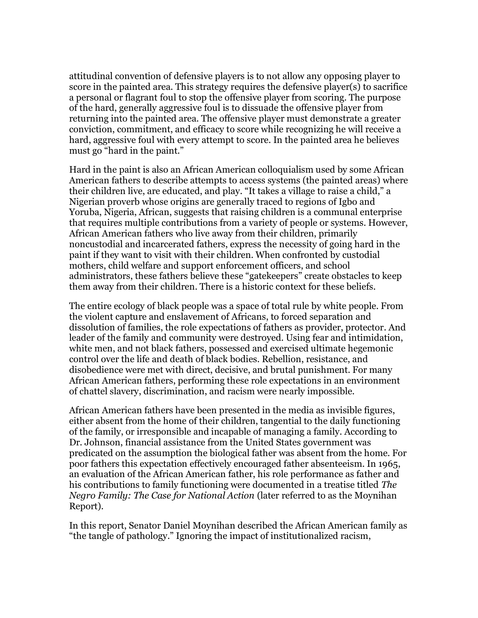attitudinal convention of defensive players is to not allow any opposing player to score in the painted area. This strategy requires the defensive player(s) to sacrifice a personal or flagrant foul to stop the offensive player from scoring. The purpose of the hard, generally aggressive foul is to dissuade the offensive player from returning into the painted area. The offensive player must demonstrate a greater conviction, commitment, and efficacy to score while recognizing he will receive a hard, aggressive foul with every attempt to score. In the painted area he believes must go "hard in the paint."

Hard in the paint is also an African American colloquialism used by some African American fathers to describe attempts to access systems (the painted areas) where their children live, are educated, and play. "It takes a village to raise a child," a Nigerian proverb whose origins are generally traced to regions of Igbo and Yoruba, Nigeria, African, suggests that raising children is a communal enterprise that requires multiple contributions from a variety of people or systems. However, African American fathers who live away from their children, primarily noncustodial and incarcerated fathers, express the necessity of going hard in the paint if they want to visit with their children. When confronted by custodial mothers, child welfare and support enforcement officers, and school administrators, these fathers believe these "gatekeepers" create obstacles to keep them away from their children. There is a historic context for these beliefs.

The entire ecology of black people was a space of total rule by white people. From the violent capture and enslavement of Africans, to forced separation and dissolution of families, the role expectations of fathers as provider, protector. And leader of the family and community were destroyed. Using fear and intimidation, white men, and not black fathers, possessed and exercised ultimate hegemonic control over the life and death of black bodies. Rebellion, resistance, and disobedience were met with direct, decisive, and brutal punishment. For many African American fathers, performing these role expectations in an environment of chattel slavery, discrimination, and racism were nearly impossible.

African American fathers have been presented in the media as invisible figures, either absent from the home of their children, tangential to the daily functioning of the family, or irresponsible and incapable of managing a family. According to Dr. Johnson, financial assistance from the United States government was predicated on the assumption the biological father was absent from the home. For poor fathers this expectation effectively encouraged father absenteeism. In 1965, an evaluation of the African American father, his role performance as father and his contributions to family functioning were documented in a treatise titled *The Negro Family: The Case for National Action* (later referred to as the Moynihan Report).

In this report, Senator Daniel Moynihan described the African American family as "the tangle of pathology." Ignoring the impact of institutionalized racism,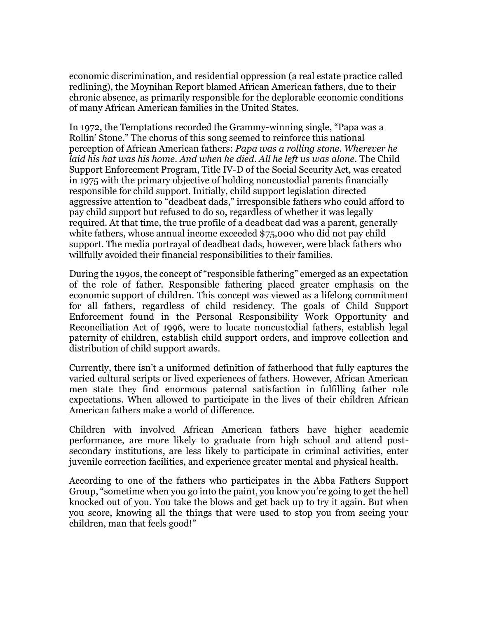economic discrimination, and residential oppression (a real estate practice called redlining), the Moynihan Report blamed African American fathers, due to their chronic absence, as primarily responsible for the deplorable economic conditions of many African American families in the United States.

In 1972, the Temptations recorded the Grammy-winning single, "Papa was a Rollin' Stone." The chorus of this song seemed to reinforce this national perception of African American fathers: *Papa was a rolling stone. Wherever he laid his hat was his home. And when he died. All he left us was alone.* The Child Support Enforcement Program, Title IV-D of the Social Security Act, was created in 1975 with the primary objective of holding noncustodial parents financially responsible for child support. Initially, child support legislation directed aggressive attention to "deadbeat dads," irresponsible fathers who could afford to pay child support but refused to do so, regardless of whether it was legally required. At that time, the true profile of a deadbeat dad was a parent, generally white fathers, whose annual income exceeded \$75,000 who did not pay child support. The media portrayal of deadbeat dads, however, were black fathers who willfully avoided their financial responsibilities to their families.

During the 1990s, the concept of "responsible fathering" emerged as an expectation of the role of father. Responsible fathering placed greater emphasis on the economic support of children. This concept was viewed as a lifelong commitment for all fathers, regardless of child residency. The goals of Child Support Enforcement found in the Personal Responsibility Work Opportunity and Reconciliation Act of 1996, were to locate noncustodial fathers, establish legal paternity of children, establish child support orders, and improve collection and distribution of child support awards.

Currently, there isn't a uniformed definition of fatherhood that fully captures the varied cultural scripts or lived experiences of fathers. However, African American men state they find enormous paternal satisfaction in fulfilling father role expectations. When allowed to participate in the lives of their children African American fathers make a world of difference.

Children with involved African American fathers have higher academic performance, are more likely to graduate from high school and attend postsecondary institutions, are less likely to participate in criminal activities, enter juvenile correction facilities, and experience greater mental and physical health.

According to one of the fathers who participates in the Abba Fathers Support Group, "sometime when you go into the paint, you know you're going to get the hell knocked out of you. You take the blows and get back up to try it again. But when you score, knowing all the things that were used to stop you from seeing your children, man that feels good!"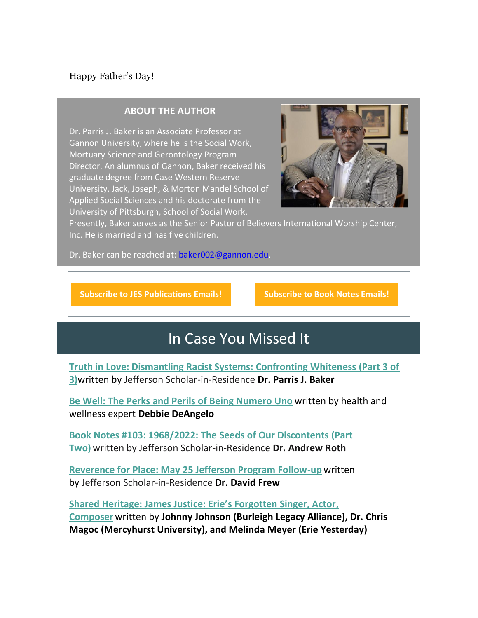### Happy Father's Day!

#### **ABOUT THE AUTHOR**

Dr. Parris J. Baker is an Associate Professor at Gannon University, where he is the Social Work, Mortuary Science and Gerontology Program Director. An alumnus of Gannon, Baker received his graduate degree from Case Western Reserve University, Jack, Joseph, & Morton Mandel School of Applied Social Sciences and his doctorate from the University of Pittsburgh, School of Social Work.



Presently, Baker serves as the Senior Pastor of Believers International Worship Center, Inc. He is married and has five children.

Dr. Baker can be reached at: [baker002@gannon.edu.](mailto:baker002@gannon.edu)

**[Subscribe to JES Publications Emails!](https://r20.rs6.net/tn.jsp?f=001a8Tvszet4XWqHLTt8ghEdDmPbBoOVHkWW-Wmf4T216heozQuez8rk9oOJm6GRDV9No7gIavsZmFPY-SVVxN75m-pZKyFmWOCpQqTbsW8SDpg81KGQIhazO0qh2fnFTXsLQKHLSDMthTPy4gATk9k8WLo3W6Bu9C7v2B03weyvtQTfI9DHeicqhAz3lm2mhntT6pIySTnCeHPF0qpyNBxRNj7Ol35sKt1xQaQBE0FjEXaZtAJ4ltgbIjpVuBe81j_tzzvANrk1sdIDIMyl5iRgafnaKNUfKmFc_meW1rmcW1VLk8odxslOj29LRYWD5H3YM6TvnY6KY_TFglloZ5-iVHRA5avs_LVZOYd4irhe0Q=&c=qlGplOL7laeSw0v9w_rxGb0nrgOjaegXR6hXal1Atf1BCvUGFJ5rXA==&ch=YgND-OLet3oyXx7XWSo3Jv68H5O5uAbni2-xAkmHHYif4kAknmAmgQ==) [Subscribe to Book Notes Emails!](https://r20.rs6.net/tn.jsp?f=001a8Tvszet4XWqHLTt8ghEdDmPbBoOVHkWW-Wmf4T216heozQuez8rk9oOJm6GRDV9eApQtxqzY9QODFrBgI7luJYJsJlBNcI9hjoRFI9uIU88rmMo53XheCcUVQFlODaIlQSl2FRnk6daoVRjXr889ClcIqwbAdo1Xc6fKNLdCJ2mY7sLlSOvNT66PDSPIuOmTTbjVJyTxQEnCxdIsAQE4orWDWji_22vASloyHhE3nCII7A2Cr0kLegBdebvw3fDrQs6G02BBQRQHQwAR064uiZJK2i7GxdIpTpAFpR7AGqdwSqzkKq81IoqIEjaOeICjdtrtYmOv3xAN8UFRuYjoTFzF671noUrd5gPeJDm54Q=&c=qlGplOL7laeSw0v9w_rxGb0nrgOjaegXR6hXal1Atf1BCvUGFJ5rXA==&ch=YgND-OLet3oyXx7XWSo3Jv68H5O5uAbni2-xAkmHHYif4kAknmAmgQ==)**

## In Case You Missed It

**[Truth in Love: Dismantling Racist Systems: Confronting Whiteness \(Part 3 of](https://r20.rs6.net/tn.jsp?f=001a8Tvszet4XWqHLTt8ghEdDmPbBoOVHkWW-Wmf4T216heozQuez8rk7HoUaJywmdFih7zPQ55eVlrridfxQaXQ4IJaC_COTsby0XJwat0w8ipRvfSfHIIvGJ1nKaJaSXSSVftn6vOI1mJ5GMovQrESw==&c=qlGplOL7laeSw0v9w_rxGb0nrgOjaegXR6hXal1Atf1BCvUGFJ5rXA==&ch=YgND-OLet3oyXx7XWSo3Jv68H5O5uAbni2-xAkmHHYif4kAknmAmgQ==)  [3\)](https://r20.rs6.net/tn.jsp?f=001a8Tvszet4XWqHLTt8ghEdDmPbBoOVHkWW-Wmf4T216heozQuez8rk7HoUaJywmdFih7zPQ55eVlrridfxQaXQ4IJaC_COTsby0XJwat0w8ipRvfSfHIIvGJ1nKaJaSXSSVftn6vOI1mJ5GMovQrESw==&c=qlGplOL7laeSw0v9w_rxGb0nrgOjaegXR6hXal1Atf1BCvUGFJ5rXA==&ch=YgND-OLet3oyXx7XWSo3Jv68H5O5uAbni2-xAkmHHYif4kAknmAmgQ==)**written by Jefferson Scholar-in-Residence **Dr. Parris J. Baker**

**[Be Well: The Perks and Perils of Being Numero Uno](https://r20.rs6.net/tn.jsp?f=001a8Tvszet4XWqHLTt8ghEdDmPbBoOVHkWW-Wmf4T216heozQuez8rk7M70DfxIjY6us0zLLsn77-J4wDxyzyDo6kD2nAWYEjMvbSkfyrqsIRpkx7xxJOgFLMsZNr7Qwqdc8xVM9qNJGyqtxweugkDSQ==&c=qlGplOL7laeSw0v9w_rxGb0nrgOjaegXR6hXal1Atf1BCvUGFJ5rXA==&ch=YgND-OLet3oyXx7XWSo3Jv68H5O5uAbni2-xAkmHHYif4kAknmAmgQ==)** written by health and wellness expert **Debbie DeAngelo**

**[Book Notes #103: 1968/2022: The Seeds of Our Discontents \(Part](https://r20.rs6.net/tn.jsp?f=001a8Tvszet4XWqHLTt8ghEdDmPbBoOVHkWW-Wmf4T216heozQuez8rkxbCaMAEWcj29pidRVo2JEbq1kcKv8BQcxdNKxUSaG5CX58MA1RS8JNDZ8cosEXCDcPG-_1i_K6DPSF3TIXPEAP7j5VHJ8Bj0A==&c=qlGplOL7laeSw0v9w_rxGb0nrgOjaegXR6hXal1Atf1BCvUGFJ5rXA==&ch=YgND-OLet3oyXx7XWSo3Jv68H5O5uAbni2-xAkmHHYif4kAknmAmgQ==)  [Two\)](https://r20.rs6.net/tn.jsp?f=001a8Tvszet4XWqHLTt8ghEdDmPbBoOVHkWW-Wmf4T216heozQuez8rkxbCaMAEWcj29pidRVo2JEbq1kcKv8BQcxdNKxUSaG5CX58MA1RS8JNDZ8cosEXCDcPG-_1i_K6DPSF3TIXPEAP7j5VHJ8Bj0A==&c=qlGplOL7laeSw0v9w_rxGb0nrgOjaegXR6hXal1Atf1BCvUGFJ5rXA==&ch=YgND-OLet3oyXx7XWSo3Jv68H5O5uAbni2-xAkmHHYif4kAknmAmgQ==)** written by Jefferson Scholar-in-Residence **Dr. Andrew Roth**

**[Reverence for Place: May 25 Jefferson Program Follow-up](https://r20.rs6.net/tn.jsp?f=001a8Tvszet4XWqHLTt8ghEdDmPbBoOVHkWW-Wmf4T216heozQuez8rkxbCaMAEWcj2d3KeUnkTvnEmJqApjciaS1rnadgg7aBNczxsRhGd2V3sNf6Kolkf8T_wJ3M4nIiQhyH3Z7dyCNzK3t-WklReGw==&c=qlGplOL7laeSw0v9w_rxGb0nrgOjaegXR6hXal1Atf1BCvUGFJ5rXA==&ch=YgND-OLet3oyXx7XWSo3Jv68H5O5uAbni2-xAkmHHYif4kAknmAmgQ==)** written by Jefferson Scholar-in-Residence **Dr. David Frew**

**[Shared Heritage: James Justice: Erie's Forgotten Singer, Actor,](https://r20.rs6.net/tn.jsp?f=001a8Tvszet4XWqHLTt8ghEdDmPbBoOVHkWW-Wmf4T216heozQuez8rk6qb6q6PRGO2p4U1miA_HZ-qd_D9pYGW1QdxTqMEIxS3UqvpF7szyvrWKicnrL7IZc6Rortu0cW6bApN3legVBWBac-4ACuZdw==&c=qlGplOL7laeSw0v9w_rxGb0nrgOjaegXR6hXal1Atf1BCvUGFJ5rXA==&ch=YgND-OLet3oyXx7XWSo3Jv68H5O5uAbni2-xAkmHHYif4kAknmAmgQ==)  [Composer](https://r20.rs6.net/tn.jsp?f=001a8Tvszet4XWqHLTt8ghEdDmPbBoOVHkWW-Wmf4T216heozQuez8rk6qb6q6PRGO2p4U1miA_HZ-qd_D9pYGW1QdxTqMEIxS3UqvpF7szyvrWKicnrL7IZc6Rortu0cW6bApN3legVBWBac-4ACuZdw==&c=qlGplOL7laeSw0v9w_rxGb0nrgOjaegXR6hXal1Atf1BCvUGFJ5rXA==&ch=YgND-OLet3oyXx7XWSo3Jv68H5O5uAbni2-xAkmHHYif4kAknmAmgQ==)** written by **Johnny Johnson (Burleigh Legacy Alliance), Dr. Chris Magoc (Mercyhurst University), and Melinda Meyer (Erie Yesterday)**